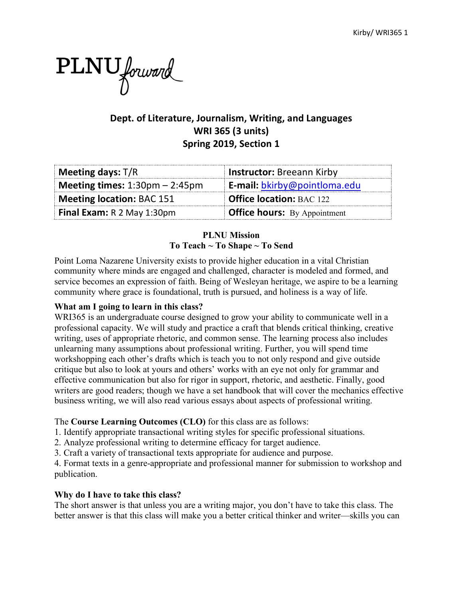

# **Dept. of Literature, Journalism, Writing, and Languages WRI 365 (3 units) Spring 2019, Section 1**

| Meeting days: T/R                    | <b>Instructor: Breeann Kirby</b>    |
|--------------------------------------|-------------------------------------|
| Meeting times: $1:30$ pm – $2:45$ pm | <b>E-mail:</b> bkirby@pointloma.edu |
| Meeting location: BAC 151            | <b>Office location: BAC 122</b>     |
| Final Exam: R 2 May 1:30pm           | <b>Office hours:</b> By Appointment |

## **PLNU Mission To Teach ~ To Shape ~ To Send**

Point Loma Nazarene University exists to provide higher education in a vital Christian community where minds are engaged and challenged, character is modeled and formed, and service becomes an expression of faith. Being of Wesleyan heritage, we aspire to be a learning community where grace is foundational, truth is pursued, and holiness is a way of life.

## **What am I going to learn in this class?**

WRI365 is an undergraduate course designed to grow your ability to communicate well in a professional capacity. We will study and practice a craft that blends critical thinking, creative writing, uses of appropriate rhetoric, and common sense. The learning process also includes unlearning many assumptions about professional writing. Further, you will spend time workshopping each other's drafts which is teach you to not only respond and give outside critique but also to look at yours and others' works with an eye not only for grammar and effective communication but also for rigor in support, rhetoric, and aesthetic. Finally, good writers are good readers; though we have a set handbook that will cover the mechanics effective business writing, we will also read various essays about aspects of professional writing.

## The **Course Learning Outcomes (CLO)** for this class are as follows:

- 1. Identify appropriate transactional writing styles for specific professional situations.
- 2. Analyze professional writing to determine efficacy for target audience.
- 3. Craft a variety of transactional texts appropriate for audience and purpose.

4. Format texts in a genre-appropriate and professional manner for submission to workshop and publication.

## **Why do I have to take this class?**

The short answer is that unless you are a writing major, you don't have to take this class. The better answer is that this class will make you a better critical thinker and writer—skills you can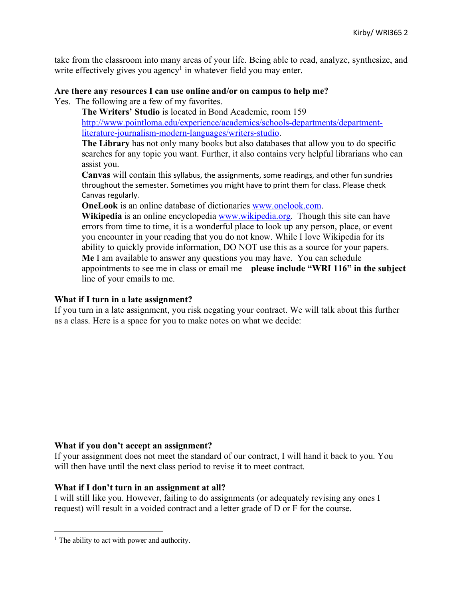take from the classroom into many areas of your life. Being able to read, analyze, synthesize, and write effectively gives you agency<sup>1</sup> in whatever field you may enter.

#### **Are there any resources I can use online and/or on campus to help me?**

Yes. The following are a few of my favorites.

**The Writers' Studio** is located in Bond Academic, room 159 http://www.pointloma.edu/experience/academics/schools-departments/departmentliterature-journalism-modern-languages/writers-studio.

**The Library** has not only many books but also databases that allow you to do specific searches for any topic you want. Further, it also contains very helpful librarians who can assist you.

**Canvas** will contain this syllabus, the assignments, some readings, and other fun sundries throughout the semester. Sometimes you might have to print them for class. Please check Canvas regularly.

**OneLook** is an online database of dictionaries www.onelook.com.

**Wikipedia** is an online encyclopedia www.wikipedia.org. Though this site can have errors from time to time, it is a wonderful place to look up any person, place, or event you encounter in your reading that you do not know. While I love Wikipedia for its ability to quickly provide information, DO NOT use this as a source for your papers. **Me** I am available to answer any questions you may have. You can schedule appointments to see me in class or email me—**please include "WRI 116" in the subject** line of your emails to me.

#### **What if I turn in a late assignment?**

If you turn in a late assignment, you risk negating your contract. We will talk about this further as a class. Here is a space for you to make notes on what we decide:

### **What if you don't accept an assignment?**

If your assignment does not meet the standard of our contract, I will hand it back to you. You will then have until the next class period to revise it to meet contract.

#### **What if I don't turn in an assignment at all?**

I will still like you. However, failing to do assignments (or adequately revising any ones I request) will result in a voided contract and a letter grade of D or F for the course.

l

<sup>&</sup>lt;sup>1</sup> The ability to act with power and authority.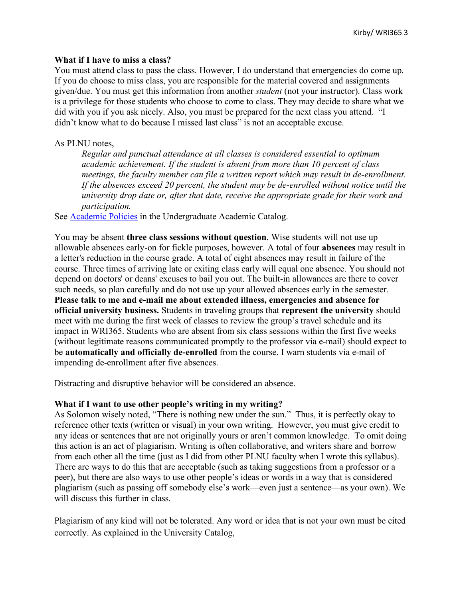#### **What if I have to miss a class?**

You must attend class to pass the class. However, I do understand that emergencies do come up. If you do choose to miss class, you are responsible for the material covered and assignments given/due. You must get this information from another *student* (not your instructor). Class work is a privilege for those students who choose to come to class. They may decide to share what we did with you if you ask nicely. Also, you must be prepared for the next class you attend. "I didn't know what to do because I missed last class" is not an acceptable excuse.

### As PLNU notes,

*Regular and punctual attendance at all classes is considered essential to optimum academic achievement. If the student is absent from more than 10 percent of class meetings, the faculty member can file a written report which may result in de-enrollment. If the absences exceed 20 percent, the student may be de-enrolled without notice until the university drop date or, after that date, receive the appropriate grade for their work and participation.* 

See Academic Policies in the Undergraduate Academic Catalog.

You may be absent **three class sessions without question**. Wise students will not use up allowable absences early-on for fickle purposes, however. A total of four **absences** may result in a letter's reduction in the course grade. A total of eight absences may result in failure of the course. Three times of arriving late or exiting class early will equal one absence. You should not depend on doctors' or deans' excuses to bail you out. The built-in allowances are there to cover such needs, so plan carefully and do not use up your allowed absences early in the semester. **Please talk to me and e-mail me about extended illness, emergencies and absence for official university business.** Students in traveling groups that **represent the university** should meet with me during the first week of classes to review the group's travel schedule and its impact in WRI365. Students who are absent from six class sessions within the first five weeks (without legitimate reasons communicated promptly to the professor via e-mail) should expect to be **automatically and officially de-enrolled** from the course. I warn students via e-mail of impending de-enrollment after five absences.

Distracting and disruptive behavior will be considered an absence.

### **What if I want to use other people's writing in my writing?**

As Solomon wisely noted, "There is nothing new under the sun." Thus, it is perfectly okay to reference other texts (written or visual) in your own writing. However, you must give credit to any ideas or sentences that are not originally yours or aren't common knowledge. To omit doing this action is an act of plagiarism. Writing is often collaborative, and writers share and borrow from each other all the time (just as I did from other PLNU faculty when I wrote this syllabus). There are ways to do this that are acceptable (such as taking suggestions from a professor or a peer), but there are also ways to use other people's ideas or words in a way that is considered plagiarism (such as passing off somebody else's work—even just a sentence—as your own). We will discuss this further in class.

Plagiarism of any kind will not be tolerated. Any word or idea that is not your own must be cited correctly. As explained in the University Catalog,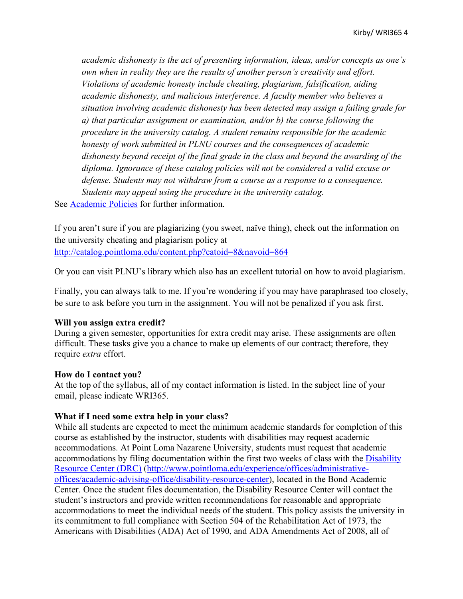*academic dishonesty is the act of presenting information, ideas, and/or concepts as one's own when in reality they are the results of another person's creativity and effort. Violations of academic honesty include cheating, plagiarism, falsification, aiding academic dishonesty, and malicious interference. A faculty member who believes a situation involving academic dishonesty has been detected may assign a failing grade for a) that particular assignment or examination, and/or b) the course following the procedure in the university catalog. A student remains responsible for the academic honesty of work submitted in PLNU courses and the consequences of academic dishonesty beyond receipt of the final grade in the class and beyond the awarding of the diploma. Ignorance of these catalog policies will not be considered a valid excuse or defense. Students may not withdraw from a course as a response to a consequence. Students may appeal using the procedure in the university catalog.*

See Academic Policies for further information.

If you aren't sure if you are plagiarizing (you sweet, naïve thing), check out the information on the university cheating and plagiarism policy at http://catalog.pointloma.edu/content.php?catoid=8&navoid=864

Or you can visit PLNU's library which also has an excellent tutorial on how to avoid plagiarism.

Finally, you can always talk to me. If you're wondering if you may have paraphrased too closely, be sure to ask before you turn in the assignment. You will not be penalized if you ask first.

#### **Will you assign extra credit?**

During a given semester, opportunities for extra credit may arise. These assignments are often difficult. These tasks give you a chance to make up elements of our contract; therefore, they require *extra* effort.

#### **How do I contact you?**

At the top of the syllabus, all of my contact information is listed. In the subject line of your email, please indicate WRI365.

#### **What if I need some extra help in your class?**

While all students are expected to meet the minimum academic standards for completion of this course as established by the instructor, students with disabilities may request academic accommodations. At Point Loma Nazarene University, students must request that academic accommodations by filing documentation within the first two weeks of class with the Disability Resource Center (DRC) (http://www.pointloma.edu/experience/offices/administrativeoffices/academic-advising-office/disability-resource-center), located in the Bond Academic Center. Once the student files documentation, the Disability Resource Center will contact the student's instructors and provide written recommendations for reasonable and appropriate accommodations to meet the individual needs of the student. This policy assists the university in its commitment to full compliance with Section 504 of the Rehabilitation Act of 1973, the Americans with Disabilities (ADA) Act of 1990, and ADA Amendments Act of 2008, all of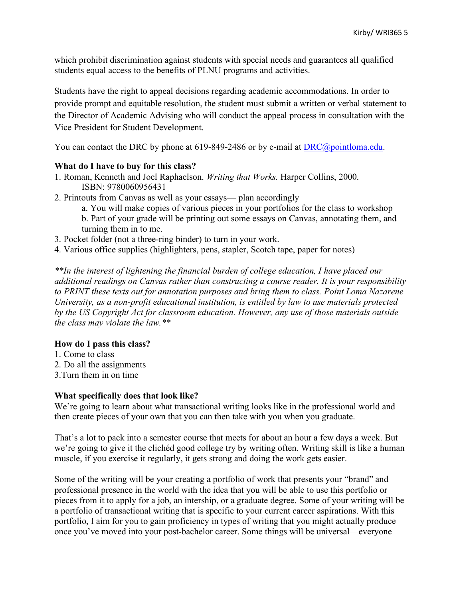which prohibit discrimination against students with special needs and guarantees all qualified students equal access to the benefits of PLNU programs and activities.

Students have the right to appeal decisions regarding academic accommodations. In order to provide prompt and equitable resolution, the student must submit a written or verbal statement to the Director of Academic Advising who will conduct the appeal process in consultation with the Vice President for Student Development.

You can contact the DRC by phone at 619-849-2486 or by e-mail at DRC@pointloma.edu.

## **What do I have to buy for this class?**

- 1. Roman, Kenneth and Joel Raphaelson. *Writing that Works.* Harper Collins, 2000. ISBN: 9780060956431
- 2. Printouts from Canvas as well as your essays— plan accordingly
	- a. You will make copies of various pieces in your portfolios for the class to workshop
	- b. Part of your grade will be printing out some essays on Canvas, annotating them, and turning them in to me.
- 3. Pocket folder (not a three-ring binder) to turn in your work.
- 4. Various office supplies (highlighters, pens, stapler, Scotch tape, paper for notes)

*\*\*In the interest of lightening the financial burden of college education, I have placed our additional readings on Canvas rather than constructing a course reader. It is your responsibility to PRINT these texts out for annotation purposes and bring them to class. Point Loma Nazarene University, as a non-profit educational institution, is entitled by law to use materials protected by the US Copyright Act for classroom education. However, any use of those materials outside the class may violate the law.\*\**

### **How do I pass this class?**

- 1. Come to class
- 2. Do all the assignments
- 3.Turn them in on time

### **What specifically does that look like?**

We're going to learn about what transactional writing looks like in the professional world and then create pieces of your own that you can then take with you when you graduate.

That's a lot to pack into a semester course that meets for about an hour a few days a week. But we're going to give it the clichéd good college try by writing often. Writing skill is like a human muscle, if you exercise it regularly, it gets strong and doing the work gets easier.

Some of the writing will be your creating a portfolio of work that presents your "brand" and professional presence in the world with the idea that you will be able to use this portfolio or pieces from it to apply for a job, an intership, or a graduate degree. Some of your writing will be a portfolio of transactional writing that is specific to your current career aspirations. With this portfolio, I aim for you to gain proficiency in types of writing that you might actually produce once you've moved into your post-bachelor career. Some things will be universal—everyone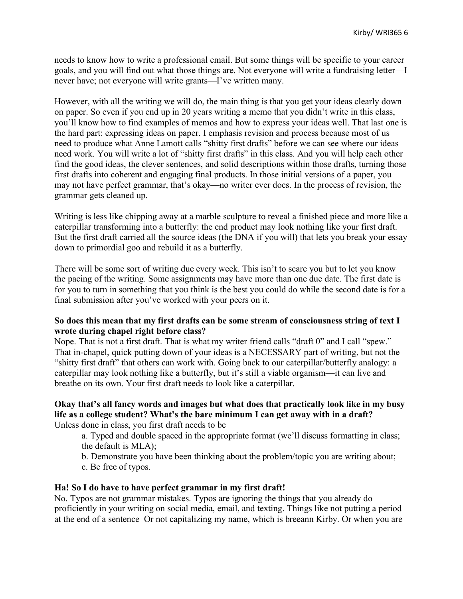needs to know how to write a professional email. But some things will be specific to your career goals, and you will find out what those things are. Not everyone will write a fundraising letter—I never have; not everyone will write grants—I've written many.

However, with all the writing we will do, the main thing is that you get your ideas clearly down on paper. So even if you end up in 20 years writing a memo that you didn't write in this class, you'll know how to find examples of memos and how to express your ideas well. That last one is the hard part: expressing ideas on paper. I emphasis revision and process because most of us need to produce what Anne Lamott calls "shitty first drafts" before we can see where our ideas need work. You will write a lot of "shitty first drafts" in this class. And you will help each other find the good ideas, the clever sentences, and solid descriptions within those drafts, turning those first drafts into coherent and engaging final products. In those initial versions of a paper, you may not have perfect grammar, that's okay—no writer ever does. In the process of revision, the grammar gets cleaned up.

Writing is less like chipping away at a marble sculpture to reveal a finished piece and more like a caterpillar transforming into a butterfly: the end product may look nothing like your first draft. But the first draft carried all the source ideas (the DNA if you will) that lets you break your essay down to primordial goo and rebuild it as a butterfly.

There will be some sort of writing due every week. This isn't to scare you but to let you know the pacing of the writing. Some assignments may have more than one due date. The first date is for you to turn in something that you think is the best you could do while the second date is for a final submission after you've worked with your peers on it.

## **So does this mean that my first drafts can be some stream of consciousness string of text I wrote during chapel right before class?**

Nope. That is not a first draft. That is what my writer friend calls "draft 0" and I call "spew." That in-chapel, quick putting down of your ideas is a NECESSARY part of writing, but not the "shitty first draft" that others can work with. Going back to our caterpillar/butterfly analogy: a caterpillar may look nothing like a butterfly, but it's still a viable organism—it can live and breathe on its own. Your first draft needs to look like a caterpillar.

#### **Okay that's all fancy words and images but what does that practically look like in my busy life as a college student? What's the bare minimum I can get away with in a draft?** Unless done in class, you first draft needs to be

a. Typed and double spaced in the appropriate format (we'll discuss formatting in class; the default is MLA);

- b. Demonstrate you have been thinking about the problem/topic you are writing about;
- c. Be free of typos.

### **Ha! So I do have to have perfect grammar in my first draft!**

No. Typos are not grammar mistakes. Typos are ignoring the things that you already do proficiently in your writing on social media, email, and texting. Things like not putting a period at the end of a sentence Or not capitalizing my name, which is breeann Kirby. Or when you are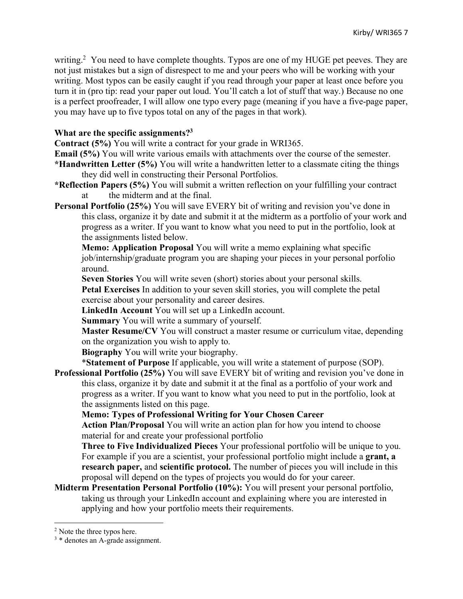writing.<sup>2</sup> You need to have complete thoughts. Typos are one of my HUGE pet peeves. They are not just mistakes but a sign of disrespect to me and your peers who will be working with your writing. Most typos can be easily caught if you read through your paper at least once before you turn it in (pro tip: read your paper out loud. You'll catch a lot of stuff that way.) Because no one is a perfect proofreader, I will allow one typo every page (meaning if you have a five-page paper, you may have up to five typos total on any of the pages in that work).

## **What are the specific assignments?3**

**Contract (5%)** You will write a contract for your grade in WRI365.

**Email (5%)** You will write various emails with attachments over the course of the semester.

**\*Handwritten Letter (5%)** You will write a handwritten letter to a classmate citing the things they did well in constructing their Personal Portfolios.

- **\*Reflection Papers (5%)** You will submit a written reflection on your fulfilling your contract at the midterm and at the final.
- **Personal Portfolio (25%)** You will save EVERY bit of writing and revision you've done in this class, organize it by date and submit it at the midterm as a portfolio of your work and progress as a writer. If you want to know what you need to put in the portfolio, look at the assignments listed below.

**Memo: Application Proposal** You will write a memo explaining what specific job/internship/graduate program you are shaping your pieces in your personal porfolio around.

**Seven Stories** You will write seven (short) stories about your personal skills.

**Petal Exercises** In addition to your seven skill stories, you will complete the petal exercise about your personality and career desires.

**LinkedIn Account** You will set up a LinkedIn account.

**Summary** You will write a summary of yourself.

**Master Resume/CV** You will construct a master resume or curriculum vitae, depending on the organization you wish to apply to.

**Biography** You will write your biography.

\***Statement of Purpose** If applicable, you will write a statement of purpose (SOP).

**Professional Portfolio (25%)** You will save EVERY bit of writing and revision you've done in this class, organize it by date and submit it at the final as a portfolio of your work and progress as a writer. If you want to know what you need to put in the portfolio, look at the assignments listed on this page.

**Memo: Types of Professional Writing for Your Chosen Career**

**Action Plan/Proposal** You will write an action plan for how you intend to choose material for and create your professional portfolio

**Three to Five Individualized Pieces** Your professional portfolio will be unique to you. For example if you are a scientist, your professional portfolio might include a **grant, a research paper,** and **scientific protocol.** The number of pieces you will include in this proposal will depend on the types of projects you would do for your career.

**Midterm Presentation Personal Portfolio (10%):** You will present your personal portfolio, taking us through your LinkedIn account and explaining where you are interested in applying and how your portfolio meets their requirements.

l

<sup>&</sup>lt;sup>2</sup> Note the three typos here.

<sup>3</sup> \* denotes an A-grade assignment.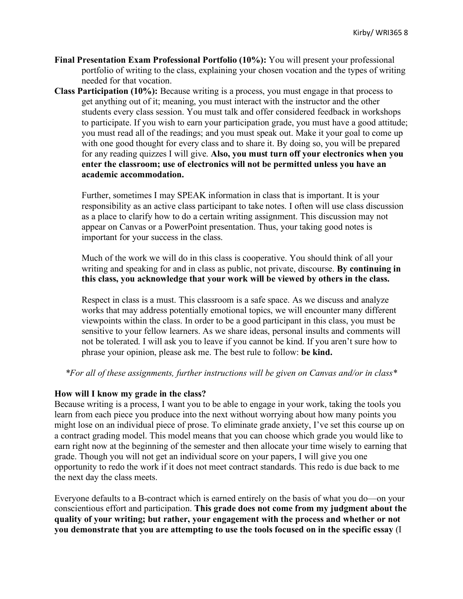- **Final Presentation Exam Professional Portfolio (10%):** You will present your professional portfolio of writing to the class, explaining your chosen vocation and the types of writing needed for that vocation.
- **Class Participation (10%):** Because writing is a process, you must engage in that process to get anything out of it; meaning, you must interact with the instructor and the other students every class session. You must talk and offer considered feedback in workshops to participate. If you wish to earn your participation grade, you must have a good attitude; you must read all of the readings; and you must speak out. Make it your goal to come up with one good thought for every class and to share it. By doing so, you will be prepared for any reading quizzes I will give. **Also, you must turn off your electronics when you enter the classroom; use of electronics will not be permitted unless you have an academic accommodation.**

Further, sometimes I may SPEAK information in class that is important. It is your responsibility as an active class participant to take notes. I often will use class discussion as a place to clarify how to do a certain writing assignment. This discussion may not appear on Canvas or a PowerPoint presentation. Thus, your taking good notes is important for your success in the class.

Much of the work we will do in this class is cooperative. You should think of all your writing and speaking for and in class as public, not private, discourse. **By continuing in this class, you acknowledge that your work will be viewed by others in the class.**

Respect in class is a must. This classroom is a safe space. As we discuss and analyze works that may address potentially emotional topics, we will encounter many different viewpoints within the class. In order to be a good participant in this class, you must be sensitive to your fellow learners. As we share ideas, personal insults and comments will not be tolerated. I will ask you to leave if you cannot be kind. If you aren't sure how to phrase your opinion, please ask me. The best rule to follow: **be kind.**

*\*For all of these assignments, further instructions will be given on Canvas and/or in class\**

### **How will I know my grade in the class?**

Because writing is a process, I want you to be able to engage in your work, taking the tools you learn from each piece you produce into the next without worrying about how many points you might lose on an individual piece of prose. To eliminate grade anxiety, I've set this course up on a contract grading model. This model means that you can choose which grade you would like to earn right now at the beginning of the semester and then allocate your time wisely to earning that grade. Though you will not get an individual score on your papers, I will give you one opportunity to redo the work if it does not meet contract standards. This redo is due back to me the next day the class meets.

Everyone defaults to a B-contract which is earned entirely on the basis of what you do—on your conscientious effort and participation. **This grade does not come from my judgment about the quality of your writing; but rather, your engagement with the process and whether or not you demonstrate that you are attempting to use the tools focused on in the specific essay** (I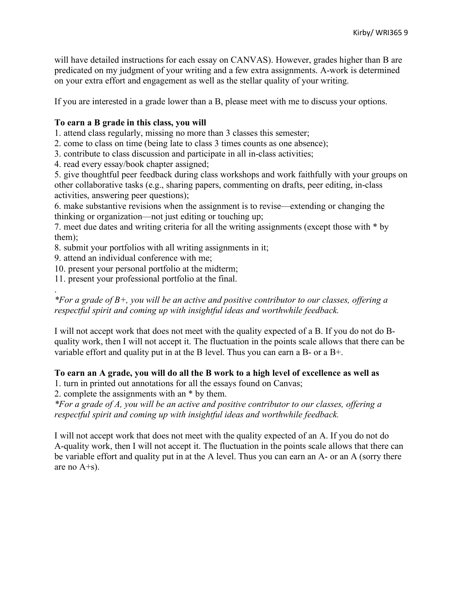will have detailed instructions for each essay on CANVAS). However, grades higher than B are predicated on my judgment of your writing and a few extra assignments. A-work is determined on your extra effort and engagement as well as the stellar quality of your writing.

If you are interested in a grade lower than a B, please meet with me to discuss your options.

## **To earn a B grade in this class, you will**

1. attend class regularly, missing no more than 3 classes this semester;

2. come to class on time (being late to class 3 times counts as one absence);

3. contribute to class discussion and participate in all in-class activities;

4. read every essay/book chapter assigned;

5. give thoughtful peer feedback during class workshops and work faithfully with your groups on other collaborative tasks (e.g., sharing papers, commenting on drafts, peer editing, in-class activities, answering peer questions);

6. make substantive revisions when the assignment is to revise—extending or changing the thinking or organization—not just editing or touching up;

7. meet due dates and writing criteria for all the writing assignments (except those with \* by them);

8. submit your portfolios with all writing assignments in it;

9. attend an individual conference with me;

.

10. present your personal portfolio at the midterm;

11. present your professional portfolio at the final.

## *\*For a grade of B+, you will be an active and positive contributor to our classes, offering a respectful spirit and coming up with insightful ideas and worthwhile feedback.*

I will not accept work that does not meet with the quality expected of a B. If you do not do Bquality work, then I will not accept it. The fluctuation in the points scale allows that there can be variable effort and quality put in at the B level. Thus you can earn a B- or a B+.

### **To earn an A grade, you will do all the B work to a high level of excellence as well as**

1. turn in printed out annotations for all the essays found on Canvas;

2. complete the assignments with an \* by them.

*\*For a grade of A, you will be an active and positive contributor to our classes, offering a respectful spirit and coming up with insightful ideas and worthwhile feedback.*

I will not accept work that does not meet with the quality expected of an A. If you do not do A-quality work, then I will not accept it. The fluctuation in the points scale allows that there can be variable effort and quality put in at the A level. Thus you can earn an A- or an A (sorry there are no A+s).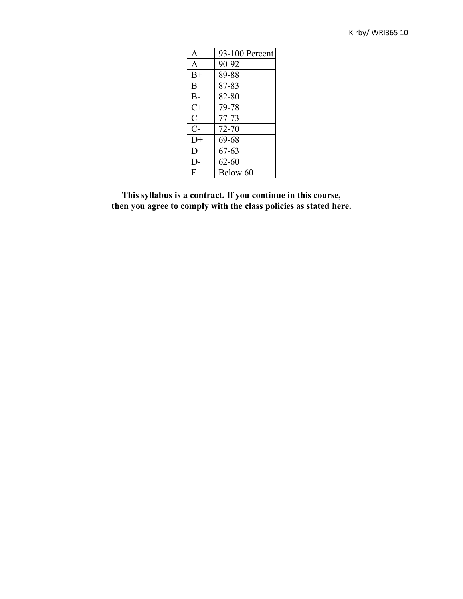| $\mathsf{A}$ | 93-100 Percent |
|--------------|----------------|
| $A -$        | 90-92          |
| $B+$         | 89-88          |
| B            | 87-83          |
| $B -$        | 82-80          |
| $C+$         | 79-78          |
| C            | 77-73          |
| $C-$         | $72 - 70$      |
| $D+$         | 69-68          |
| D            | 67-63          |
| $D-$         | $62 - 60$      |
| F            | Below 60       |

**This syllabus is a contract. If you continue in this course, then you agree to comply with the class policies as stated here.**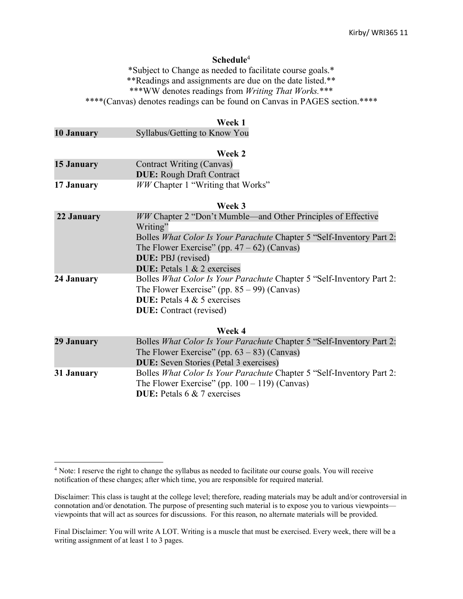#### **Schedule**<sup>4</sup>

\*Subject to Change as needed to facilitate course goals.\* \*\*Readings and assignments are due on the date listed.\*\* \*\*\*WW denotes readings from *Writing That Works.*\*\*\* \*\*\*\*(Canvas) denotes readings can be found on Canvas in PAGES section.\*\*\*\*

#### **Week 1**

|  | <b>10 January</b> | Syllabus/Getting to Know You |
|--|-------------------|------------------------------|
|--|-------------------|------------------------------|

 $\overline{a}$ 

|            | Week 2                                   |
|------------|------------------------------------------|
| 15 January | <b>Contract Writing (Canvas)</b>         |
|            | <b>DUE:</b> Rough Draft Contract         |
| 17 January | <i>WW</i> Chapter 1 "Writing that Works" |

#### **Week 3**

| <i>WW</i> Chapter 2 "Don't Mumble—and Other Principles of Effective   |
|-----------------------------------------------------------------------|
| Writing"                                                              |
| Bolles What Color Is Your Parachute Chapter 5 "Self-Inventory Part 2: |
| The Flower Exercise" (pp. $47 - 62$ ) (Canvas)                        |
| <b>DUE</b> : PBJ (revised)                                            |
| <b>DUE:</b> Petals $1 \& 2$ exercises                                 |
| Bolles What Color Is Your Parachute Chapter 5 "Self-Inventory Part 2: |
| The Flower Exercise" (pp. $85 - 99$ ) (Canvas)                        |
| <b>DUE:</b> Petals $4 \& 5$ exercises                                 |
| <b>DUE</b> : Contract (revised)                                       |
|                                                                       |

**Week 4**

| 29 January | Bolles What Color Is Your Parachute Chapter 5 "Self-Inventory Part 2:<br>The Flower Exercise" (pp. $63 - 83$ ) (Canvas)<br><b>DUE:</b> Seven Stories (Petal 3 exercises) |
|------------|--------------------------------------------------------------------------------------------------------------------------------------------------------------------------|
| 31 January | Bolles What Color Is Your Parachute Chapter 5 "Self-Inventory Part 2:<br>The Flower Exercise" (pp. $100 - 119$ ) (Canvas)<br><b>DUE:</b> Petals 6 & 7 exercises          |

<sup>4</sup> Note: I reserve the right to change the syllabus as needed to facilitate our course goals. You will receive notification of these changes; after which time, you are responsible for required material.

Disclaimer: This class is taught at the college level; therefore, reading materials may be adult and/or controversial in connotation and/or denotation. The purpose of presenting such material is to expose you to various viewpoints viewpoints that will act as sources for discussions. For this reason, no alternate materials will be provided.

Final Disclaimer: You will write A LOT. Writing is a muscle that must be exercised. Every week, there will be a writing assignment of at least 1 to 3 pages.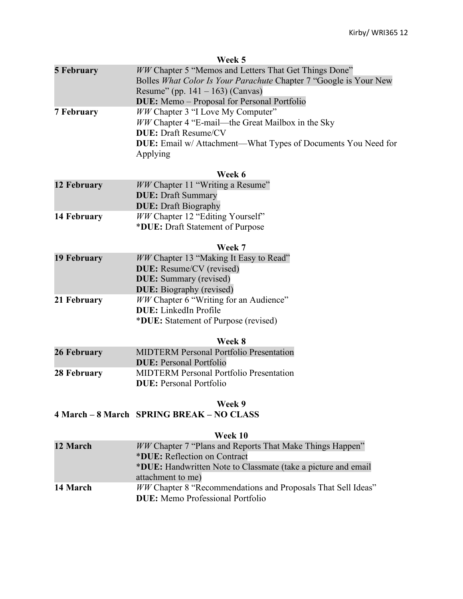|                    | Week 5                                                               |
|--------------------|----------------------------------------------------------------------|
| <b>5 February</b>  | <b>WW Chapter 5 "Memos and Letters That Get Things Done"</b>         |
|                    | Bolles What Color Is Your Parachute Chapter 7 "Google is Your New    |
|                    | Resume" (pp. 141 – 163) (Canvas)                                     |
|                    | <b>DUE:</b> Memo – Proposal for Personal Portfolio                   |
| <b>7 February</b>  | <i>WW</i> Chapter 3 "I Love My Computer"                             |
|                    | WW Chapter 4 "E-mail—the Great Mailbox in the Sky                    |
|                    | <b>DUE: Draft Resume/CV</b>                                          |
|                    | <b>DUE:</b> Email w/ Attachment—What Types of Documents You Need for |
|                    | Applying                                                             |
|                    | Week 6                                                               |
| 12 February        | WW Chapter 11 "Writing a Resume"                                     |
|                    | <b>DUE: Draft Summary</b>                                            |
|                    | <b>DUE: Draft Biography</b>                                          |
| 14 February        | WW Chapter 12 "Editing Yourself"                                     |
|                    | *DUE: Draft Statement of Purpose                                     |
|                    | Week 7                                                               |
| <b>19 February</b> | WW Chapter 13 "Making It Easy to Read"                               |
|                    | <b>DUE:</b> Resume/CV (revised)                                      |
|                    | <b>DUE:</b> Summary (revised)                                        |
|                    | <b>DUE:</b> Biography (revised)                                      |
| 21 February        | WW Chapter 6 "Writing for an Audience"                               |
|                    | <b>DUE:</b> LinkedIn Profile                                         |
|                    | *DUE: Statement of Purpose (revised)                                 |

## **Week 8**

| 26 February | <b>MIDTERM Personal Portfolio Presentation</b><br><b>DUE:</b> Personal Portfolio  |
|-------------|-----------------------------------------------------------------------------------|
| 28 February | <b>MIDTERM Personal Portfolio Presentation</b><br><b>DUE</b> : Personal Portfolio |

## **Week 9**

# **4 March – 8 March SPRING BREAK – NO CLASS**

| Week 10 |  |
|---------|--|
|         |  |

| <i>WW</i> Chapter 7 "Plans and Reports That Make Things Happen"     |
|---------------------------------------------------------------------|
|                                                                     |
| *DUE: Handwritten Note to Classmate (take a picture and email       |
|                                                                     |
| <i>WW</i> Chapter 8 "Recommendations and Proposals That Sell Ideas" |
|                                                                     |
|                                                                     |